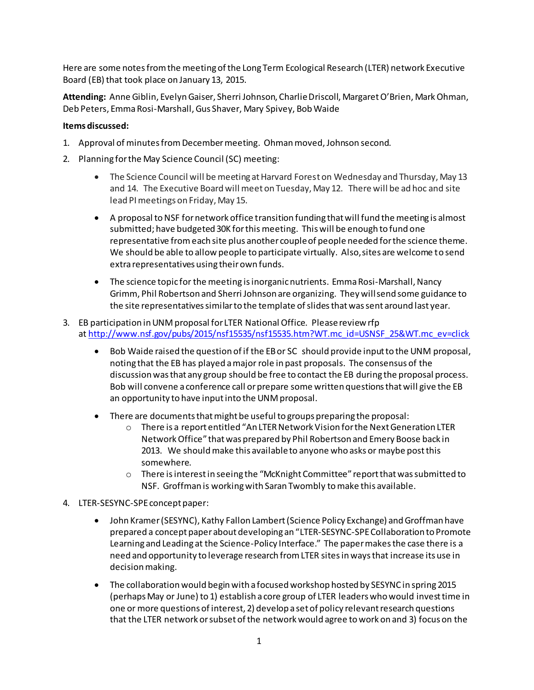Here are some notes from the meeting of the Long Term Ecological Research (LTER) network Executive Board (EB) that took place on January 13, 2015.

**Attending:** Anne Giblin, Evelyn Gaiser, Sherri Johnson, Charlie Driscoll, Margaret O'Brien, Mark Ohman, Deb Peters, Emma Rosi-Marshall, Gus Shaver, Mary Spivey, Bob Waide

## **Items discussed:**

- 1. Approval of minutes from Decembermeeting. Ohman moved, Johnson second.
- 2. Planning for the May Science Council (SC) meeting:
	- The Science Council will be meeting at Harvard Forest on Wednesday and Thursday, May 13 and 14. The Executive Board will meet on Tuesday, May 12. There will be ad hoc and site lead PI meetings on Friday, May 15.
	- A proposal to NSF for network office transition funding that will fund the meeting is almost submitted; have budgeted 30K for this meeting. This will be enough to fund one representative fromeach site plus another couple of people needed for the science theme. We should be able to allow people to participate virtually. Also, sites are welcome to send extra representatives using their own funds.
	- The science topic for the meeting is inorganic nutrients. Emma Rosi-Marshall, Nancy Grimm, Phil Robertson and Sherri Johnson are organizing. They will send some guidance to the site representatives similar to the template of slides that was sent around last year.

## 3. EB participation in UNM proposal for LTER National Office. Please review rfp at [http://www.nsf.gov/pubs/2015/nsf15535/nsf15535.htm?WT.mc\\_id=USNSF\\_25&WT.mc\\_ev=click](http://www.nsf.gov/pubs/2015/nsf15535/nsf15535.htm?WT.mc_id=USNSF_25&WT.mc_ev=click)

- Bob Waide raised the question of if the EB or SC should provide input to the UNM proposal, noting that the EB has played a major role in past proposals. The consensus of the discussion was that any group should be free to contact the EB during the proposal process. Bob will convene a conference call or prepare some written questions that will give the EB an opportunity to have input into the UNM proposal.
- There are documents that might be useful to groups preparing the proposal:
	- o There is a report entitled "An LTER Network Vision for the Next Generation LTER Network Office" that was prepared by Phil Robertson and Emery Boose back in 2013. We should make this available to anyone who asks or maybe post this somewhere.
	- $\circ$  There is interest in seeing the "McKnight Committee" report that was submitted to NSF. Groffman is working with Saran Twombly to make this available.

## 4. LTER-SESYNC-SPE concept paper:

- John Kramer (SESYNC), Kathy Fallon Lambert (Science Policy Exchange) and Groffman have prepared a concept paper about developing an "LTER-SESYNC-SPE Collaboration to Promote Learning and Leading at the Science-Policy Interface." The paper makes the case there is a need and opportunity to leverage research from LTER sites in ways that increase its use in decision making.
- The collaboration would begin with a focused workshop hosted by SESYNC in spring 2015 (perhaps May or June) to 1) establish a core group of LTER leaders who would invest time in one or more questions of interest, 2) develop a set of policy relevant research questions that the LTER network or subset of the network would agree to work on and 3) focus on the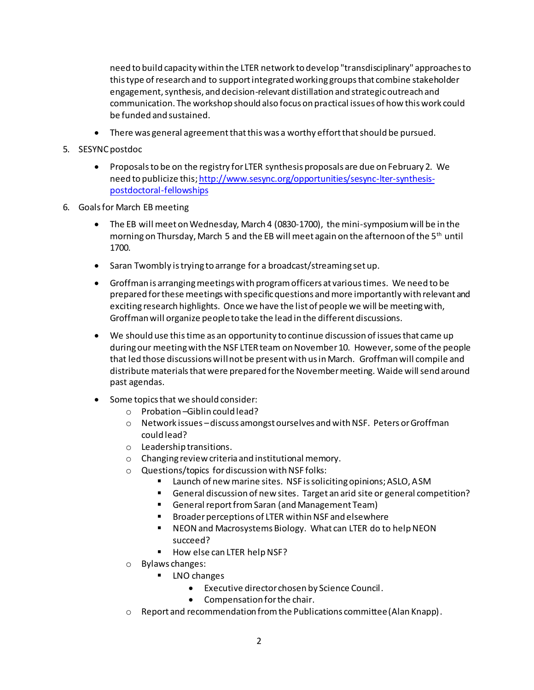need to build capacity within the LTER network to develop "transdisciplinary" approaches to this type of research and to support integrated working groups that combine stakeholder engagement, synthesis, and decision-relevant distillation and strategic outreach and communication. The workshop should also focus on practical issues of how this work could be funded and sustained.

- There was general agreement that this was a worthy effort that should be pursued.
- 5. SESYNC postdoc
	- Proposals to be on the registry for LTER synthesis proposals are due on February 2. We need to publicize this[; http://www.sesync.org/opportunities/sesync-lter-synthesis](http://www.sesync.org/opportunities/sesync-lter-synthesis-postdoctoral-fellowships)[postdoctoral-fellowships](http://www.sesync.org/opportunities/sesync-lter-synthesis-postdoctoral-fellowships)
- 6. Goals for March EB meeting
	- The EB will meet on Wednesday, March 4 (0830-1700), the mini-symposium will be in the morning on Thursday, March 5 and the EB will meet again on the afternoon of the 5th until 1700.
	- Saran Twombly is trying to arrange for a broadcast/streaming set up.
	- Groffman is arranging meetings with program officers at various times. We need to be prepared for these meetings with specific questions and more importantly with relevant and exciting research highlights. Once we have the list of people we will be meeting with, Groffman will organize people to take the lead in the different discussions.
	- We should use this time as an opportunity to continue discussion of issues that came up during our meeting with the NSF LTER team on November 10. However, some of the people that led those discussions will not be present with us in March. Groffman will compile and distribute materials that were prepared for the November meeting. Waide will send around past agendas.
	- Some topics that we should consider:
		- o Probation –Giblin could lead?
		- o Network issues –discuss amongst ourselves and with NSF. Peters or Groffman could lead?
		- o Leadership transitions.
		- o Changing review criteria and institutional memory.
		- o Questions/topics for discussion with NSF folks:
			- Launch of new marine sites. NSF is soliciting opinions; ASLO, ASM
			- General discussion of new sites. Target an arid site or general competition?
			- General report from Saran (and Management Team)
			- **Broader perceptions of LTER within NSF and elsewhere**
			- NEON and Macrosystems Biology. What can LTER do to help NEON succeed?
			- **How else can LTER help NSF?**
		- o Bylaws changes:
			- **LNO** changes
				- Executive director chosen by Science Council.
				- Compensation for the chair.
		- $\circ$  Report and recommendation from the Publications committee (Alan Knapp).